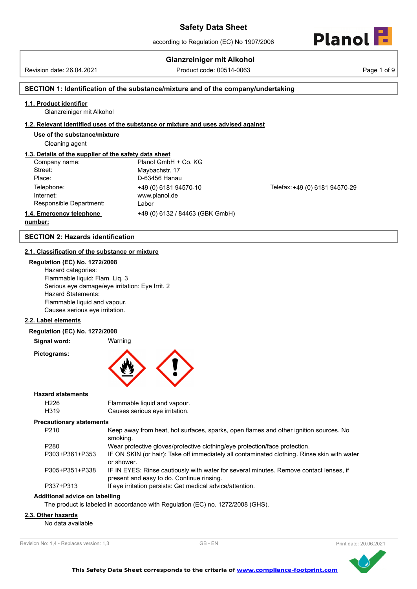# **Glanzreiniger mit Alkohol**

Revision date: 26.04.2021 Product code: 00514-0063 Page 1 of 9



# **SECTION 1: Identification of the substance/mixture and of the company/undertaking**

# **1.1. Product identifier**

Glanzreiniger mit Alkohol

#### **1.2. Relevant identified uses of the substance or mixture and uses advised against**

**Use of the substance/mixture**

Cleaning agent

# **1.3. Details of the supplier of the safety data sheet**

| Company name:            | Planol GmbH + Co. KG            |
|--------------------------|---------------------------------|
| Street:                  | Maybachstr. 17                  |
| Place:                   | D-63456 Hanau                   |
| Telephone:               | +49 (0) 6181 94570-10           |
| Internet:                | www.planol.de                   |
| Responsible Department:  | Labor                           |
| 1.4. Emergency telephone | +49 (0) 6132 / 84463 (GBK GmbH) |

Telefax: +49 (0) 6181 94570-29

### **number:**

# **SECTION 2: Hazards identification**

# **2.1. Classification of the substance or mixture**

### **Regulation (EC) No. 1272/2008**

Hazard categories: Flammable liquid: Flam. Liq. 3 Serious eye damage/eye irritation: Eye Irrit. 2 Hazard Statements: Flammable liquid and vapour. Causes serious eye irritation.

#### **2.2. Label elements**

#### **Regulation (EC) No. 1272/2008**

**Signal word:** Warning

**Pictograms:**



### **Hazard statements**

| H226 | Flammable liquid and vapour.   |
|------|--------------------------------|
| H319 | Causes serious eye irritation. |

#### **Precautionary statements**

| P <sub>210</sub> | Keep away from heat, hot surfaces, sparks, open flames and other ignition sources. No                                               |
|------------------|-------------------------------------------------------------------------------------------------------------------------------------|
|                  | smoking.                                                                                                                            |
| P280             | Wear protective gloves/protective clothing/eye protection/face protection.                                                          |
| P303+P361+P353   | IF ON SKIN (or hair): Take off immediately all contaminated clothing. Rinse skin with water<br>or shower.                           |
| P305+P351+P338   | IF IN EYES: Rinse cautiously with water for several minutes. Remove contact lenses, if<br>present and easy to do. Continue rinsing. |
| P337+P313        | If eye irritation persists: Get medical advice/attention.                                                                           |

# **Additional advice on labelling**

The product is labeled in accordance with Regulation (EC) no. 1272/2008 (GHS).

# **2.3. Other hazards**

No data available

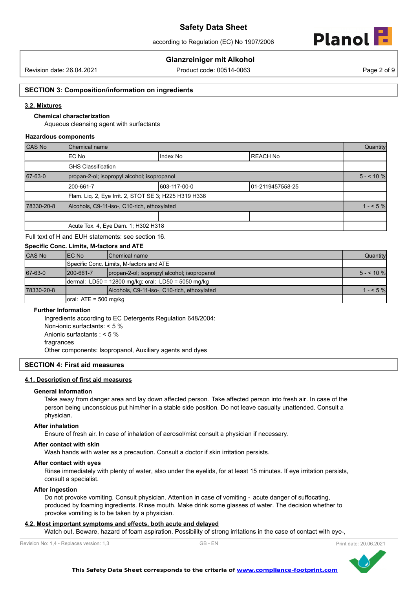according to Regulation (EC) No 1907/2006



# **Glanzreiniger mit Alkohol**

Revision date: 26.04.2021 Product code: 00514-0063 Page 2 of 9

#### **SECTION 3: Composition/information on ingredients**

#### **3.2. Mixtures**

# **Chemical characterization**

Aqueous cleansing agent with surfactants

#### **Hazardous components**

| CAS No     | Chemical name                                         |              |                  | Quantity  |
|------------|-------------------------------------------------------|--------------|------------------|-----------|
|            | IEC No                                                | Index No     | <b>REACH No</b>  |           |
|            | <b>GHS Classification</b>                             |              |                  |           |
| 67-63-0    | propan-2-ol; isopropyl alcohol; isopropanol           |              |                  | $5 - 10%$ |
|            | 200-661-7                                             | 603-117-00-0 | 01-2119457558-25 |           |
|            | Flam. Lig. 2, Eye Irrit. 2, STOT SE 3; H225 H319 H336 |              |                  |           |
| 78330-20-8 | Alcohols, C9-11-iso-, C10-rich, ethoxylated           |              |                  | $1 - 5\%$ |
|            |                                                       |              |                  |           |
|            | Acute Tox. 4, Eye Dam. 1; H302 H318                   |              |                  |           |

Full text of H and EUH statements: see section 16.

# **Specific Conc. Limits, M-factors and ATE**

| <b>CAS No</b> | IEC No                                               | <b>IChemical name</b>                       | Quantity   |
|---------------|------------------------------------------------------|---------------------------------------------|------------|
|               |                                                      | Specific Conc. Limits, M-factors and ATE    |            |
| 67-63-0       | 1200-661-7                                           | propan-2-ol; isopropyl alcohol; isopropanol | $5 - 10\%$ |
|               | dermal: LD50 = 12800 mg/kg; oral: LD50 = 5050 mg/kg  |                                             |            |
| 78330-20-8    |                                                      | Alcohols, C9-11-iso-, C10-rich, ethoxylated | $1 - 5\%$  |
|               | $\lceil \text{oral: ATE} \rceil = 500 \text{ mg/kg}$ |                                             |            |

#### **Further Information**

Ingredients according to EC Detergents Regulation 648/2004: Non-ionic surfactants: < 5 % Anionic surfactants : < 5 % fragrances Other components: Isopropanol, Auxiliary agents and dyes

#### **SECTION 4: First aid measures**

#### **4.1. Description of first aid measures**

#### **General information**

Take away from danger area and lay down affected person. Take affected person into fresh air. In case of the person being unconscious put him/her in a stable side position. Do not leave casualty unattended. Consult a physician.

#### **After inhalation**

Ensure of fresh air. In case of inhalation of aerosol/mist consult a physician if necessary.

#### **After contact with skin**

Wash hands with water as a precaution. Consult a doctor if skin irritation persists.

#### **After contact with eyes**

Rinse immediately with plenty of water, also under the eyelids, for at least 15 minutes. If eye irritation persists, consult a specialist.

#### **After ingestion**

Do not provoke vomiting. Consult physician. Attention in case of vomiting - acute danger of suffocating, produced by foaming ingredients. Rinse mouth. Make drink some glasses of water. The decision whether to provoke vomiting is to be taken by a physician.

#### **4.2. Most important symptoms and effects, both acute and delayed**

Watch out. Beware, hazard of foam aspiration. Possibility of strong irritations in the case of contact with eye-,



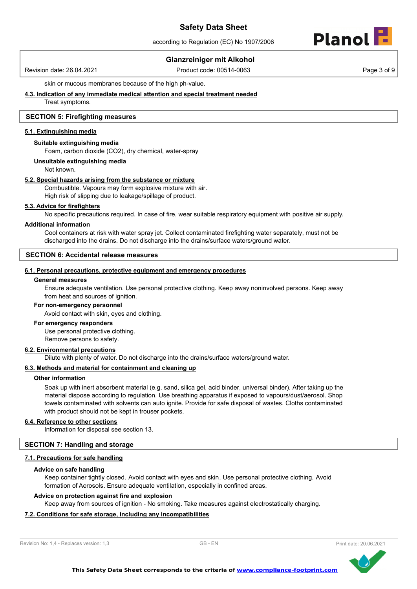according to Regulation (EC) No 1907/2006



# **Glanzreiniger mit Alkohol**

Revision date: 26.04.2021 Product code: 00514-0063 Page 3 of 9

skin or mucous membranes because of the high ph-value.

**4.3. Indication of any immediate medical attention and special treatment needed**

Treat symptoms.

### **SECTION 5: Firefighting measures**

#### **5.1. Extinguishing media**

#### **Suitable extinguishing media**

Foam, carbon dioxide (CO2), dry chemical, water-spray

#### **Unsuitable extinguishing media**

Not known.

#### **5.2. Special hazards arising from the substance or mixture**

Combustible. Vapours may form explosive mixture with air. High risk of slipping due to leakage/spillage of product.

#### **5.3. Advice for firefighters**

No specific precautions required. In case of fire, wear suitable respiratory equipment with positive air supply.

#### **Additional information**

Cool containers at risk with water spray jet. Collect contaminated firefighting water separately, must not be discharged into the drains. Do not discharge into the drains/surface waters/ground water.

### **SECTION 6: Accidental release measures**

#### **6.1. Personal precautions, protective equipment and emergency procedures**

#### **General measures**

Ensure adequate ventilation. Use personal protective clothing. Keep away noninvolved persons. Keep away from heat and sources of ignition.

#### **For non-emergency personnel**

Avoid contact with skin, eyes and clothing.

#### **For emergency responders**

Use personal protective clothing. Remove persons to safety.

#### **6.2. Environmental precautions**

Dilute with plenty of water. Do not discharge into the drains/surface waters/ground water.

#### **6.3. Methods and material for containment and cleaning up**

#### **Other information**

Soak up with inert absorbent material (e.g. sand, silica gel, acid binder, universal binder). After taking up the material dispose according to regulation. Use breathing apparatus if exposed to vapours/dust/aerosol. Shop towels contaminated with solvents can auto ignite. Provide for safe disposal of wastes. Cloths contaminated with product should not be kept in trouser pockets.

#### **6.4. Reference to other sections**

Information for disposal see section 13.

#### **SECTION 7: Handling and storage**

#### **7.1. Precautions for safe handling**

#### **Advice on safe handling**

Keep container tightly closed. Avoid contact with eyes and skin. Use personal protective clothing. Avoid formation of Aerosols. Ensure adequate ventilation, especially in confined areas.

#### **Advice on protection against fire and explosion**

Keep away from sources of ignition - No smoking. Take measures against electrostatically charging.

# **7.2. Conditions for safe storage, including any incompatibilities**



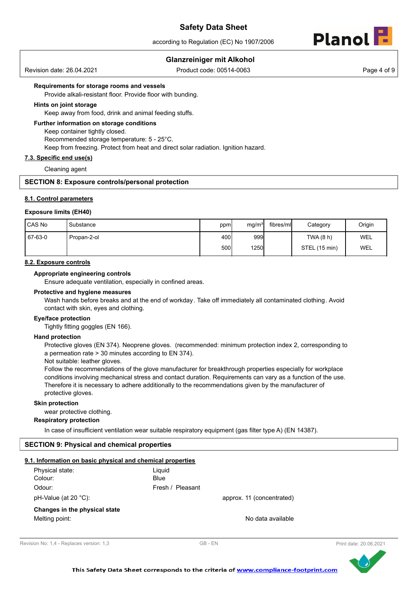according to Regulation (EC) No 1907/2006



# **Glanzreiniger mit Alkohol**

Revision date: 26.04.2021 Product code: 00514-0063 Page 4 of 9

#### **Requirements for storage rooms and vessels**

Provide alkali-resistant floor. Provide floor with bunding.

#### **Hints on joint storage**

Keep away from food, drink and animal feeding stuffs.

#### **Further information on storage conditions**

Keep container tightly closed. Recommended storage temperature: 5 - 25°C. Keep from freezing. Protect from heat and direct solar radiation. Ignition hazard.

#### **7.3. Specific end use(s)**

Cleaning agent

# **SECTION 8: Exposure controls/personal protection**

#### **8.1. Control parameters**

#### **Exposure limits (EH40)**

| l CAS No | 'Substance  | ppm  | mg/m <sup>3</sup> | fibres/ml | Category      | Origin     |
|----------|-------------|------|-------------------|-----------|---------------|------------|
| 67-63-0  | Propan-2-ol | 400l | 999               |           | TWA (8 h)     | <b>WEL</b> |
|          |             | 500l | 1250              |           | STEL (15 min) | WEL        |

#### **8.2. Exposure controls**

## **Appropriate engineering controls**

Ensure adequate ventilation, especially in confined areas.

#### **Protective and hygiene measures**

Wash hands before breaks and at the end of workday. Take off immediately all contaminated clothing. Avoid contact with skin, eyes and clothing.

#### **Eye/face protection**

Tightly fitting goggles (EN 166).

#### **Hand protection**

Protective gloves (EN 374). Neoprene gloves. (recommended: minimum protection index 2, corresponding to a permeation rate > 30 minutes according to EN 374).

Not suitable: leather gloves.

Follow the recommendations of the glove manufacturer for breakthrough properties especially for workplace conditions involving mechanical stress and contact duration. Requirements can vary as a function of the use. Therefore it is necessary to adhere additionally to the recommendations given by the manufacturer of protective gloves.

#### **Skin protection**

wear protective clothing.

#### **Respiratory protection**

In case of insufficient ventilation wear suitable respiratory equipment (gas filter type A) (EN 14387).

#### **SECTION 9: Physical and chemical properties**

#### **9.1. Information on basic physical and chemical properties**

| Physical state:               | Liguid                    |
|-------------------------------|---------------------------|
| Colour:                       | Blue                      |
| Odour:                        | Fresh / Pleasant          |
| $pH-Value$ (at 20 °C):        | approx. 11 (concentrated) |
| Changes in the physical state |                           |
| Melting point:                | No data available         |



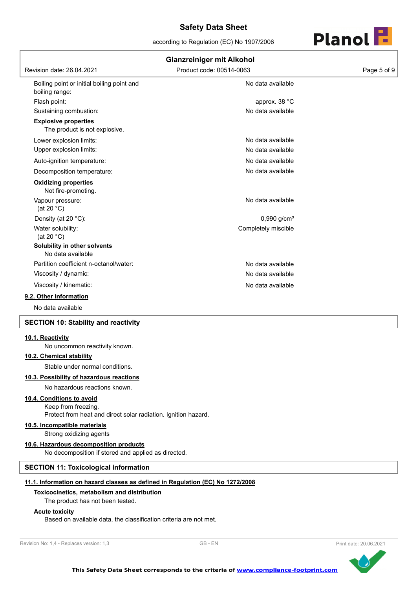according to Regulation (EC) No 1907/2006



| <b>Glanzreiniger mit Alkohol</b>                             |                           |             |  |  |
|--------------------------------------------------------------|---------------------------|-------------|--|--|
| Revision date: 26.04.2021                                    | Product code: 00514-0063  | Page 5 of 9 |  |  |
| Boiling point or initial boiling point and<br>boiling range: | No data available         |             |  |  |
| Flash point:                                                 | approx. 38 °C             |             |  |  |
| Sustaining combustion:                                       | No data available         |             |  |  |
| <b>Explosive properties</b><br>The product is not explosive. |                           |             |  |  |
| Lower explosion limits:                                      | No data available         |             |  |  |
| Upper explosion limits:                                      | No data available         |             |  |  |
| Auto-ignition temperature:                                   | No data available         |             |  |  |
| Decomposition temperature:                                   | No data available         |             |  |  |
| <b>Oxidizing properties</b><br>Not fire-promoting.           |                           |             |  |  |
| Vapour pressure:<br>(at 20 $°C$ )                            | No data available         |             |  |  |
| Density (at 20 °C):                                          | $0,990$ g/cm <sup>3</sup> |             |  |  |
| Water solubility:<br>(at 20 $°C$ )                           | Completely miscible       |             |  |  |
| Solubility in other solvents<br>No data available            |                           |             |  |  |
| Partition coefficient n-octanol/water:                       | No data available         |             |  |  |
| Viscosity / dynamic:                                         | No data available         |             |  |  |
| Viscosity / kinematic:                                       | No data available         |             |  |  |
| 9.2. Other information                                       |                           |             |  |  |
| No data available                                            |                           |             |  |  |

#### **SECTION 10: Stability and reactivity**

#### **10.1. Reactivity**

No uncommon reactivity known.

### **10.2. Chemical stability**

Stable under normal conditions.

#### **10.3. Possibility of hazardous reactions**

No hazardous reactions known.

# **10.4. Conditions to avoid**

Keep from freezing. Protect from heat and direct solar radiation. Ignition hazard.

#### **10.5. Incompatible materials**

Strong oxidizing agents

#### **10.6. Hazardous decomposition products**

No decomposition if stored and applied as directed.

# **SECTION 11: Toxicological information**

#### **11.1. Information on hazard classes as defined in Regulation (EC) No 1272/2008**

#### **Toxicocinetics, metabolism and distribution**

The product has not been tested.

#### **Acute toxicity**

Based on available data, the classification criteria are not met.

```
Revision No: 1,4 - Replaces version: 1,3 GB - EN GB - EN Print date: 20.06.2021
```


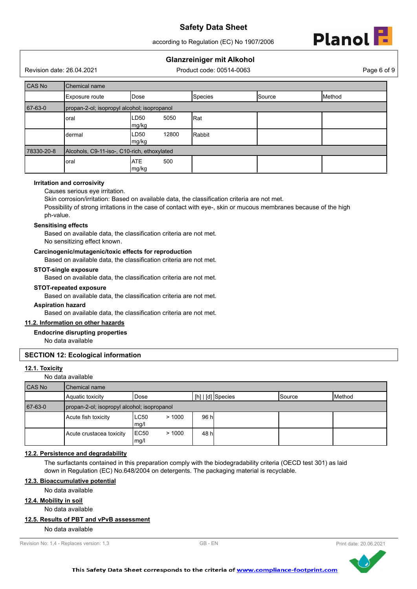according to Regulation (EC) No 1907/2006



# **Glanzreiniger mit Alkohol**

Revision date: 26.04.2021 Product code: 00514-0063 Page 6 of 9

| CAS No     | Chemical name                               |                            |                |        |        |  |
|------------|---------------------------------------------|----------------------------|----------------|--------|--------|--|
|            | Exposure route                              | <b>IDose</b>               | <b>Species</b> | Source | Method |  |
| 67-63-0    | propan-2-ol; isopropyl alcohol; isopropanol |                            |                |        |        |  |
|            | LD50<br>5050<br>Rat<br>oral<br>mg/kg        |                            |                |        |        |  |
|            | dermal                                      | 12800<br>LD50<br>mg/kg     | Rabbit         |        |        |  |
| 78330-20-8 | Alcohols, C9-11-iso-, C10-rich, ethoxylated |                            |                |        |        |  |
|            | oral                                        | <b>ATE</b><br>500<br>mg/kg |                |        |        |  |

## **Irritation and corrosivity**

Causes serious eye irritation.

Skin corrosion/irritation: Based on available data, the classification criteria are not met.

Possibility of strong irritations in the case of contact with eye-, skin or mucous membranes because of the high ph-value.

### **Sensitising effects**

Based on available data, the classification criteria are not met. No sensitizing effect known.

#### **Carcinogenic/mutagenic/toxic effects for reproduction**

Based on available data, the classification criteria are not met.

#### **STOT-single exposure**

Based on available data, the classification criteria are not met.

#### **STOT-repeated exposure**

Based on available data, the classification criteria are not met.

#### **Aspiration hazard**

Based on available data, the classification criteria are not met.

# **11.2. Information on other hazards**

# **Endocrine disrupting properties**

No data available

# **SECTION 12: Ecological information**

#### **12.1. Toxicity**

No data available

| CAS No  | Chemical name                               |                              |                     |                 |        |
|---------|---------------------------------------------|------------------------------|---------------------|-----------------|--------|
|         | Aquatic toxicity                            | Dose                         | $[h]   [d]$ Species | <b>I</b> Source | Method |
| 67-63-0 | propan-2-ol; isopropyl alcohol; isopropanol |                              |                     |                 |        |
|         | Acute fish toxicity                         | LC50<br>>1000<br>mg/l        | 96 hl               |                 |        |
|         | Acute crustacea toxicity                    | <b>EC50</b><br>>1000<br>mg/l | 48 hl               |                 |        |

# **12.2. Persistence and degradability**

The surfactants contained in this preparation comply with the biodegradability criteria (OECD test 301) as laid down in Regulation (EC) No.648/2004 on detergents. The packaging material is recyclable.

### **12.3. Bioaccumulative potential**

No data available

#### **12.4. Mobility in soil**

No data available

#### **12.5. Results of PBT and vPvB assessment**

No data available



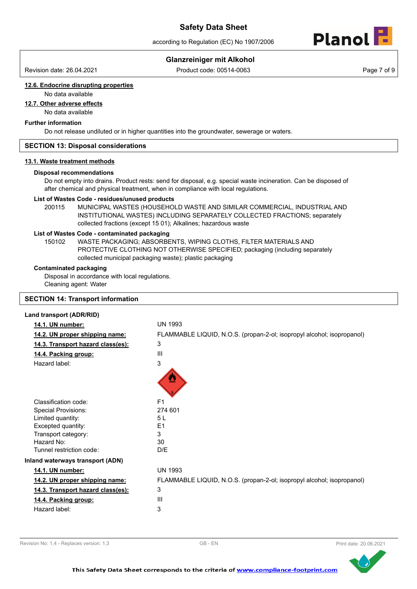according to Regulation (EC) No 1907/2006



# **Glanzreiniger mit Alkohol**

Revision date: 26.04.2021 Product code: 00514-0063 Page 7 of 9

# **12.6. Endocrine disrupting properties**

# No data available

**12.7. Other adverse effects**

No data available

# **Further information**

Do not release undiluted or in higher quantities into the groundwater, sewerage or waters.

## **SECTION 13: Disposal considerations**

#### **13.1. Waste treatment methods**

## **Disposal recommendations**

Do not empty into drains. Product rests: send for disposal, e.g. special waste incineration. Can be disposed of after chemical and physical treatment, when in compliance with local regulations.

#### **List of Wastes Code - residues/unused products**

200115 MUNICIPAL WASTES (HOUSEHOLD WASTE AND SIMILAR COMMERCIAL, INDUSTRIAL AND INSTITUTIONAL WASTES) INCLUDING SEPARATELY COLLECTED FRACTIONS; separately collected fractions (except 15 01); Alkalines; hazardous waste

#### **List of Wastes Code - contaminated packaging**

WASTE PACKAGING; ABSORBENTS, WIPING CLOTHS, FILTER MATERIALS AND PROTECTIVE CLOTHING NOT OTHERWISE SPECIFIED; packaging (including separately collected municipal packaging waste); plastic packaging 150102

# **Contaminated packaging**

Disposal in accordance with local regulations. Cleaning agent: Water

# **SECTION 14: Transport information**

#### **Land transport (ADR/RID)**

| 14.1. UN number:                  | <b>UN 1993</b>                                                         |
|-----------------------------------|------------------------------------------------------------------------|
| 14.2. UN proper shipping name:    | FLAMMABLE LIQUID, N.O.S. (propan-2-ol; isopropyl alcohol; isopropanol) |
| 14.3. Transport hazard class(es): | 3                                                                      |
| 14.4. Packing group:              | III                                                                    |
| Hazard label:                     | 3<br>♨                                                                 |
| Classification code:              | F <sub>1</sub>                                                         |
| <b>Special Provisions:</b>        | 274 601                                                                |
| Limited quantity:                 | 5L                                                                     |
| Excepted quantity:                | E <sub>1</sub>                                                         |
| Transport category:               | 3                                                                      |
| Hazard No:                        | 30                                                                     |
| Tunnel restriction code:          | D/E                                                                    |
| Inland waterways transport (ADN)  |                                                                        |
| 14.1. UN number:                  | <b>UN 1993</b>                                                         |
| 14.2. UN proper shipping name:    | FLAMMABLE LIQUID, N.O.S. (propan-2-ol; isopropyl alcohol; isopropanol) |
| 14.3. Transport hazard class(es): | 3                                                                      |
| 14.4. Packing group:              | $\mathbf{III}$                                                         |
| Hazard label:                     | 3                                                                      |



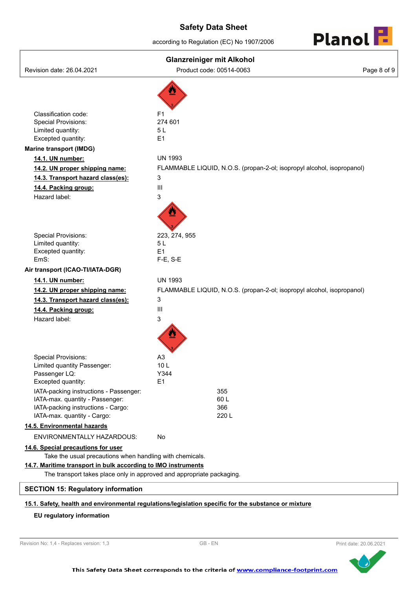according to Regulation (EC) No 1907/2006



| <b>Glanzreiniger mit Alkohol</b>                                                                                                                                                                   |                                                                        |             |  |
|----------------------------------------------------------------------------------------------------------------------------------------------------------------------------------------------------|------------------------------------------------------------------------|-------------|--|
| Revision date: 26.04.2021                                                                                                                                                                          | Product code: 00514-0063                                               | Page 8 of 9 |  |
| Classification code:<br><b>Special Provisions:</b>                                                                                                                                                 | F <sub>1</sub><br>274 601                                              |             |  |
| Limited quantity:                                                                                                                                                                                  | 5L                                                                     |             |  |
| Excepted quantity:                                                                                                                                                                                 | E1                                                                     |             |  |
| <b>Marine transport (IMDG)</b>                                                                                                                                                                     |                                                                        |             |  |
| 14.1. UN number:                                                                                                                                                                                   | <b>UN 1993</b>                                                         |             |  |
| 14.2. UN proper shipping name:                                                                                                                                                                     | FLAMMABLE LIQUID, N.O.S. (propan-2-ol; isopropyl alcohol, isopropanol) |             |  |
| 14.3. Transport hazard class(es):                                                                                                                                                                  | 3                                                                      |             |  |
| 14.4. Packing group:                                                                                                                                                                               | $\mathbf{III}$                                                         |             |  |
| Hazard label:                                                                                                                                                                                      | 3                                                                      |             |  |
| <b>Special Provisions:</b>                                                                                                                                                                         | 223, 274, 955                                                          |             |  |
| Limited quantity:                                                                                                                                                                                  | 5L<br>E1                                                               |             |  |
| Excepted quantity:<br>EmS:                                                                                                                                                                         | $F-E$ , S-E                                                            |             |  |
| Air transport (ICAO-TI/IATA-DGR)                                                                                                                                                                   |                                                                        |             |  |
| 14.1. UN number:                                                                                                                                                                                   | <b>UN 1993</b>                                                         |             |  |
| 14.2. UN proper shipping name:                                                                                                                                                                     | FLAMMABLE LIQUID, N.O.S. (propan-2-ol; isopropyl alcohol, isopropanol) |             |  |
| 14.3. Transport hazard class(es):                                                                                                                                                                  | 3                                                                      |             |  |
| 14.4. Packing group:                                                                                                                                                                               | $\mathbf{III}$                                                         |             |  |
| Hazard label:                                                                                                                                                                                      | 3                                                                      |             |  |
|                                                                                                                                                                                                    |                                                                        |             |  |
| <b>Special Provisions:</b>                                                                                                                                                                         | A <sub>3</sub>                                                         |             |  |
| Limited quantity Passenger:<br>Passenger LQ:                                                                                                                                                       | 10L<br>Y344                                                            |             |  |
| Excepted quantity:                                                                                                                                                                                 | E1                                                                     |             |  |
| IATA-packing instructions - Passenger:<br>IATA-max. quantity - Passenger:<br>IATA-packing instructions - Cargo:<br>IATA-max. quantity - Cargo:                                                     | 355<br>60L<br>366<br>220 L                                             |             |  |
| 14.5. Environmental hazards                                                                                                                                                                        |                                                                        |             |  |
| ENVIRONMENTALLY HAZARDOUS:                                                                                                                                                                         | <b>No</b>                                                              |             |  |
| 14.6. Special precautions for user                                                                                                                                                                 |                                                                        |             |  |
| Take the usual precautions when handling with chemicals.<br>14.7. Maritime transport in bulk according to IMO instruments<br>The transport takes place only in approved and appropriate packaging. |                                                                        |             |  |
| <b>SECTION 15: Regulatory information</b>                                                                                                                                                          |                                                                        |             |  |
|                                                                                                                                                                                                    |                                                                        |             |  |

# **15.1. Safety, health and environmental regulations/legislation specific for the substance or mixture**

# **EU regulatory information**